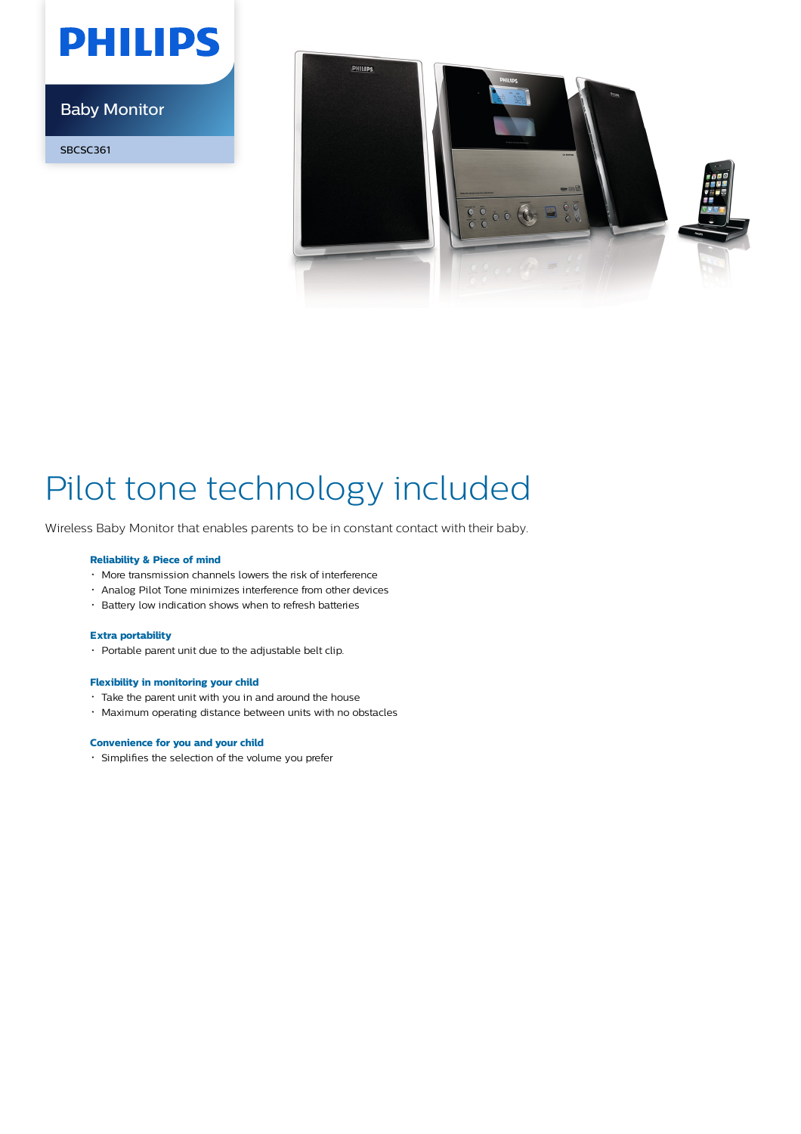# **PHILIPS**

Baby Monitor

SBCSC361



## Pilot tone technology included

Wireless Baby Monitor that enables parents to be in constant contact with their baby.

#### **Reliability & Piece of mind**

- More transmission channels lowers the risk of interference
- Analog Pilot Tone minimizes interference from other devices
- Battery low indication shows when to refresh batteries

#### **Extra portability**

• Portable parent unit due to the adjustable belt clip.

### **Flexibility in monitoring your child**

- Take the parent unit with you in and around the house
- Maximum operating distance between units with no obstacles

#### **Convenience for you and your child**

Simplifies the selection of the volume you prefer